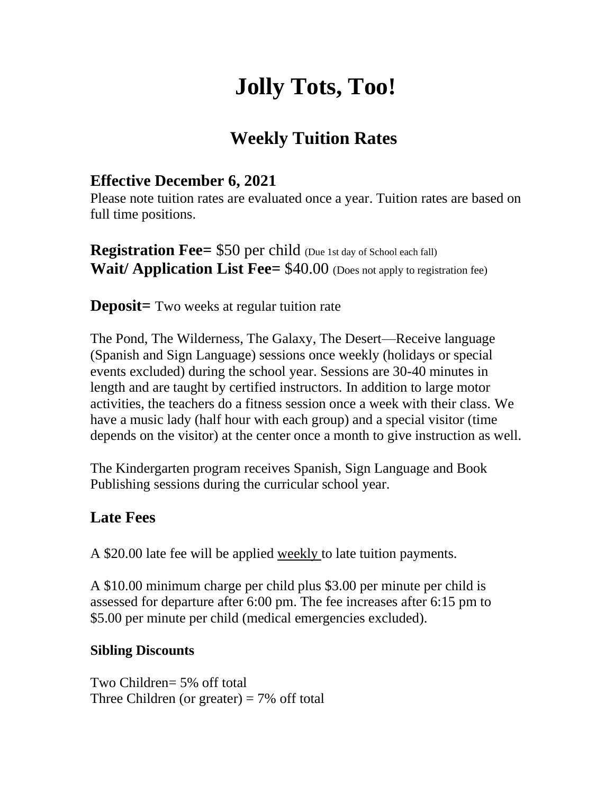# **Jolly Tots, Too!**

### **Weekly Tuition Rates**

#### **Effective December 6, 2021**

Please note tuition rates are evaluated once a year. Tuition rates are based on full time positions.

**Registration Fee= \$50 per child** (Due 1st day of School each fall) **Wait/ Application List Fee=** \$40.00 (Does not apply to registration fee)

**Deposit**= Two weeks at regular tuition rate

The Pond, The Wilderness, The Galaxy, The Desert—Receive language (Spanish and Sign Language) sessions once weekly (holidays or special events excluded) during the school year. Sessions are 30-40 minutes in length and are taught by certified instructors. In addition to large motor activities, the teachers do a fitness session once a week with their class. We have a music lady (half hour with each group) and a special visitor (time depends on the visitor) at the center once a month to give instruction as well.

The Kindergarten program receives Spanish, Sign Language and Book Publishing sessions during the curricular school year.

#### **Late Fees**

A \$20.00 late fee will be applied weekly to late tuition payments.

A \$10.00 minimum charge per child plus \$3.00 per minute per child is assessed for departure after 6:00 pm. The fee increases after 6:15 pm to \$5.00 per minute per child (medical emergencies excluded).

#### **Sibling Discounts**

Two Children= 5% off total Three Children (or greater)  $= 7\%$  off total